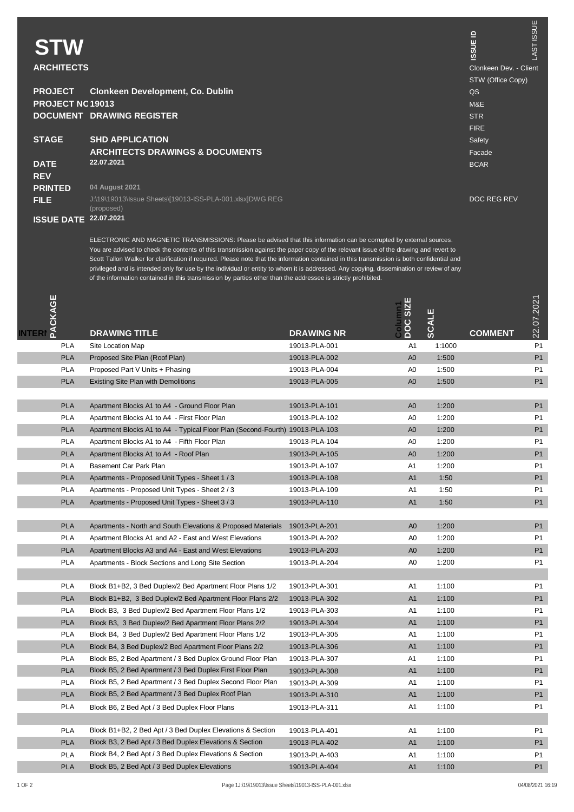| <b>STW</b><br><b>ARCHITECTS</b> |                                                                        | $\mathbf{r}$<br><b>ISSUE</b><br>Clonkeen Dev. - Client | LAST ISSUE |
|---------------------------------|------------------------------------------------------------------------|--------------------------------------------------------|------------|
|                                 |                                                                        | STW (Office Copy)                                      |            |
| <b>PROJECT</b>                  | Clonkeen Development, Co. Dublin                                       | QS                                                     |            |
| PROJECT NO19013                 |                                                                        | M&E                                                    |            |
|                                 | <b>DOCUMENT DRAWING REGISTER</b>                                       | <b>STR</b>                                             |            |
|                                 |                                                                        | <b>FIRE</b>                                            |            |
| <b>STAGE</b>                    | <b>SHD APPLICATION</b>                                                 | Safety                                                 |            |
|                                 | <b>ARCHITECTS DRAWINGS &amp; DOCUMENTS</b>                             | Facade                                                 |            |
| <b>DATE</b>                     | 22.07.2021                                                             | <b>BCAR</b>                                            |            |
| <b>REV</b>                      |                                                                        |                                                        |            |
| <b>PRINTED</b>                  | 04 August 2021                                                         |                                                        |            |
| <b>FILE</b>                     | J:\19\19013\Issue Sheets\I19013-ISS-PLA-001.xlsxIDWG REG<br>(proposed) | DOC REG REV                                            |            |
| <b>ISSUE DATE</b>               | 22.07.2021                                                             |                                                        |            |

ELECTRONIC AND MAGNETIC TRANSMISSIONS: Please be advised that this information can be compled by external sources.<br>You are advised to check the contents of this transmission against the paper copy of the relevant issue of

| <b>ACKAGE</b><br><b>NTERI</b> |            | <b>DRAWING TITLE</b>                                                         | <b>DRAWING NR</b> | DOC SIZE       | <b>SCALE</b> | <b>COMMENT</b> | 22.07.2021     |
|-------------------------------|------------|------------------------------------------------------------------------------|-------------------|----------------|--------------|----------------|----------------|
|                               | <b>PLA</b> | Site Location Map                                                            | 19013-PLA-001     | A <sub>1</sub> | 1:1000       |                | P1             |
|                               | <b>PLA</b> | Proposed Site Plan (Roof Plan)                                               | 19013-PLA-002     | A <sub>0</sub> | 1:500        |                | P1             |
|                               | <b>PLA</b> | Proposed Part V Units + Phasing                                              | 19013-PLA-004     | A0             | 1:500        |                | P1             |
|                               | <b>PLA</b> | Existing Site Plan with Demolitions                                          | 19013-PLA-005     | A <sub>0</sub> | 1:500        |                | P1             |
|                               |            |                                                                              |                   |                |              |                |                |
|                               | <b>PLA</b> | Apartment Blocks A1 to A4 - Ground Floor Plan                                | 19013-PLA-101     | A <sub>0</sub> | 1:200        |                | P1             |
|                               | <b>PLA</b> | Apartment Blocks A1 to A4 - First Floor Plan                                 | 19013-PLA-102     | A0             | 1:200        |                | P <sub>1</sub> |
|                               | <b>PLA</b> | Apartment Blocks A1 to A4 - Typical Floor Plan (Second-Fourth) 19013-PLA-103 |                   | A <sub>0</sub> | 1:200        |                | P1             |
|                               | <b>PLA</b> | Apartment Blocks A1 to A4 - Fifth Floor Plan                                 | 19013-PLA-104     | A0             | 1:200        |                | P <sub>1</sub> |
|                               | <b>PLA</b> | Apartment Blocks A1 to A4 - Roof Plan                                        | 19013-PLA-105     | A <sub>0</sub> | 1:200        |                | P1             |
|                               | <b>PLA</b> | Basement Car Park Plan                                                       | 19013-PLA-107     | A1             | 1:200        |                | P <sub>1</sub> |
|                               | <b>PLA</b> | Apartments - Proposed Unit Types - Sheet 1 / 3                               | 19013-PLA-108     | A1             | 1:50         |                | P1             |
|                               | <b>PLA</b> | Apartments - Proposed Unit Types - Sheet 2 / 3                               | 19013-PLA-109     | A <sub>1</sub> | 1:50         |                | P <sub>1</sub> |
|                               | <b>PLA</b> | Apartments - Proposed Unit Types - Sheet 3/3                                 | 19013-PLA-110     | A1             | 1:50         |                | P1             |
|                               |            |                                                                              |                   |                |              |                |                |
|                               | <b>PLA</b> | Apartments - North and South Elevations & Proposed Materials                 | 19013-PLA-201     | A <sub>0</sub> | 1:200        |                | P1             |
|                               | <b>PLA</b> | Apartment Blocks A1 and A2 - East and West Elevations                        | 19013-PLA-202     | A0             | 1:200        |                | P <sub>1</sub> |
|                               | <b>PLA</b> | Apartment Blocks A3 and A4 - East and West Elevations                        | 19013-PLA-203     | A <sub>0</sub> | 1:200        |                | P1             |
|                               | <b>PLA</b> | Apartments - Block Sections and Long Site Section                            | 19013-PI A-204    | A0             | 1:200        |                | P <sub>1</sub> |
|                               |            |                                                                              |                   |                |              |                |                |
|                               | <b>PLA</b> | Block B1+B2, 3 Bed Duplex/2 Bed Apartment Floor Plans 1/2                    | 19013-PLA-301     | A1             | 1:100        |                | P <sub>1</sub> |
|                               | <b>PLA</b> | Block B1+B2. 3 Bed Duplex/2 Bed Apartment Floor Plans 2/2                    | 19013-PLA-302     | A1             | 1:100        |                | P1             |
|                               | <b>PLA</b> | Block B3. 3 Bed Duplex/2 Bed Apartment Floor Plans 1/2                       | 19013-PLA-303     | A1             | 1:100        |                | P <sub>1</sub> |
|                               | <b>PLA</b> | Block B3. 3 Bed Duplex/2 Bed Apartment Floor Plans 2/2                       | 19013-PLA-304     | A1             | 1:100        |                | P1             |
|                               | <b>PLA</b> | Block B4, 3 Bed Duplex/2 Bed Apartment Floor Plans 1/2                       | 19013-PLA-305     | A <sub>1</sub> | 1:100        |                | P <sub>1</sub> |
|                               | <b>PLA</b> | Block B4, 3 Bed Duplex/2 Bed Apartment Floor Plans 2/2                       | 19013-PLA-306     | A1             | 1:100        |                | P1             |
|                               | <b>PLA</b> | Block B5, 2 Bed Apartment / 3 Bed Duplex Ground Floor Plan                   | 19013-PLA-307     | A1             | 1:100        |                | P <sub>1</sub> |
|                               | <b>PLA</b> | Block B5, 2 Bed Apartment / 3 Bed Duplex First Floor Plan                    | 19013-PLA-308     | A1             | 1:100        |                | P <sub>1</sub> |
|                               | <b>PLA</b> | Block B5, 2 Bed Apartment / 3 Bed Duplex Second Floor Plan                   | 19013-PLA-309     | A <sub>1</sub> | 1:100        |                | P <sub>1</sub> |
|                               | <b>PLA</b> | Block B5, 2 Bed Apartment / 3 Bed Duplex Roof Plan                           | 19013-PLA-310     | A1             | 1:100        |                | P <sub>1</sub> |
|                               | <b>PLA</b> | Block B6, 2 Bed Apt / 3 Bed Duplex Floor Plans                               | 19013-PLA-311     | A <sub>1</sub> | 1:100        |                | P <sub>1</sub> |
|                               |            |                                                                              |                   |                |              |                |                |
|                               | <b>PLA</b> | Block B1+B2, 2 Bed Apt / 3 Bed Duplex Elevations & Section                   | 19013-PLA-401     | A <sub>1</sub> | 1:100        |                | P <sub>1</sub> |
|                               | <b>PLA</b> | Block B3, 2 Bed Apt / 3 Bed Duplex Elevations & Section                      | 19013-PLA-402     | A1             | 1:100        |                | P1             |
|                               | <b>PLA</b> | Block B4, 2 Bed Apt / 3 Bed Duplex Elevations & Section                      | 19013-PLA-403     | A <sub>1</sub> | 1:100        |                | P <sub>1</sub> |
|                               | <b>PLA</b> | Block B5, 2 Bed Apt / 3 Bed Duplex Elevations                                | 19013-PLA-404     | A1             | 1:100        |                | P1             |